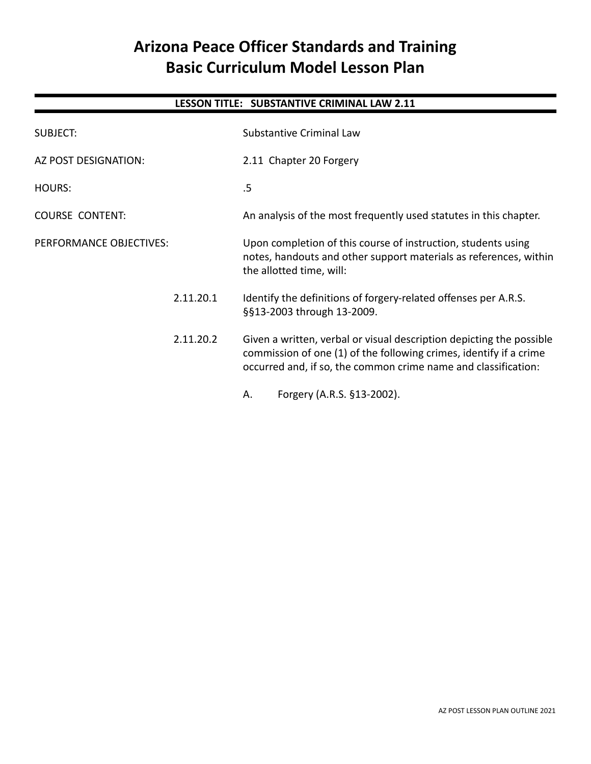# **Arizona Peace Officer Standards and Training Basic Curriculum Model Lesson Plan**

# **LESSON TITLE: SUBSTANTIVE CRIMINAL LAW 2.11**

| <b>SUBJECT:</b>         | Substantive Criminal Law                                                                                                                                                                                     |
|-------------------------|--------------------------------------------------------------------------------------------------------------------------------------------------------------------------------------------------------------|
| AZ POST DESIGNATION:    | 2.11 Chapter 20 Forgery                                                                                                                                                                                      |
| <b>HOURS:</b>           | .5                                                                                                                                                                                                           |
| <b>COURSE CONTENT:</b>  | An analysis of the most frequently used statutes in this chapter.                                                                                                                                            |
| PERFORMANCE OBJECTIVES: | Upon completion of this course of instruction, students using<br>notes, handouts and other support materials as references, within<br>the allotted time, will:                                               |
| 2.11.20.1               | Identify the definitions of forgery-related offenses per A.R.S.<br>§§13-2003 through 13-2009.                                                                                                                |
| 2.11.20.2               | Given a written, verbal or visual description depicting the possible<br>commission of one (1) of the following crimes, identify if a crime<br>occurred and, if so, the common crime name and classification: |
|                         | Forgery (A.R.S. §13-2002).<br>Α.                                                                                                                                                                             |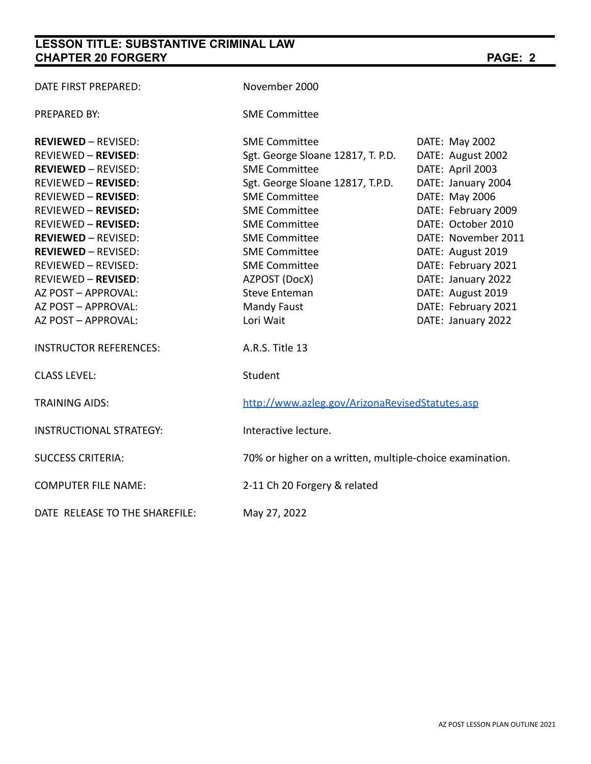# **LESSON TITLE: SUBSTANTIVE CRIMINAL LAW CHAPTER 20 FORGERY PAGE: 2**

| DATE FIRST PREPARED:           | November 2000                                            |                     |  |
|--------------------------------|----------------------------------------------------------|---------------------|--|
| <b>PREPARED BY:</b>            | <b>SME Committee</b>                                     |                     |  |
| <b>REVIEWED - REVISED:</b>     | <b>SME Committee</b>                                     | DATE: May 2002      |  |
| <b>REVIEWED - REVISED:</b>     | Sgt. George Sloane 12817, T. P.D.                        | DATE: August 2002   |  |
| <b>REVIEWED - REVISED:</b>     | <b>SME Committee</b>                                     | DATE: April 2003    |  |
| <b>REVIEWED - REVISED:</b>     | Sgt. George Sloane 12817, T.P.D.                         | DATE: January 2004  |  |
| <b>REVIEWED - REVISED:</b>     | <b>SME Committee</b>                                     | DATE: May 2006      |  |
| <b>REVIEWED - REVISED:</b>     | <b>SME Committee</b>                                     | DATE: February 2009 |  |
| <b>REVIEWED - REVISED:</b>     | <b>SME Committee</b>                                     | DATE: October 2010  |  |
| <b>REVIEWED - REVISED:</b>     | <b>SME Committee</b>                                     | DATE: November 2011 |  |
| <b>REVIEWED - REVISED:</b>     | <b>SME Committee</b>                                     | DATE: August 2019   |  |
| REVIEWED - REVISED:            | <b>SME Committee</b>                                     | DATE: February 2021 |  |
| <b>REVIEWED - REVISED:</b>     | AZPOST (DocX)                                            | DATE: January 2022  |  |
| AZ POST - APPROVAL:            | <b>Steve Enteman</b>                                     | DATE: August 2019   |  |
| AZ POST - APPROVAL:            | <b>Mandy Faust</b>                                       | DATE: February 2021 |  |
| AZ POST - APPROVAL:            | Lori Wait                                                | DATE: January 2022  |  |
| <b>INSTRUCTOR REFERENCES:</b>  | A.R.S. Title 13                                          |                     |  |
| <b>CLASS LEVEL:</b>            | Student                                                  |                     |  |
| <b>TRAINING AIDS:</b>          | http://www.azleg.gov/ArizonaRevisedStatutes.asp          |                     |  |
| <b>INSTRUCTIONAL STRATEGY:</b> | Interactive lecture.                                     |                     |  |
| <b>SUCCESS CRITERIA:</b>       | 70% or higher on a written, multiple-choice examination. |                     |  |
| <b>COMPUTER FILE NAME:</b>     | 2-11 Ch 20 Forgery & related                             |                     |  |
| DATE RELEASE TO THE SHAREFILE: | May 27, 2022                                             |                     |  |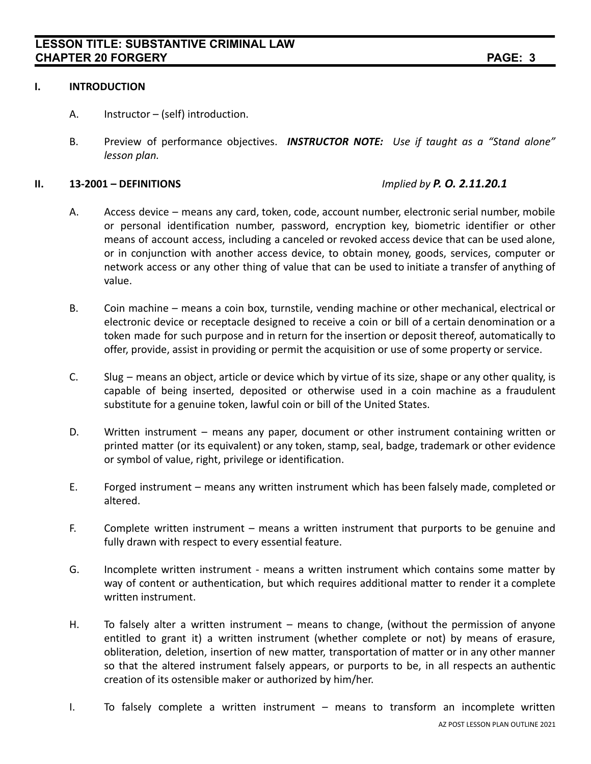### **I. INTRODUCTION**

- A. Instructor (self) introduction.
- B. Preview of performance objectives. *INSTRUCTOR NOTE: Use if taught as a "Stand alone" lesson plan.*

### **II. 13-2001 – DEFINITIONS** *Implied by P. O. 2.11.20.1*

- A. Access device means any card, token, code, account number, electronic serial number, mobile or personal identification number, password, encryption key, biometric identifier or other means of account access, including a canceled or revoked access device that can be used alone, or in conjunction with another access device, to obtain money, goods, services, computer or network access or any other thing of value that can be used to initiate a transfer of anything of value.
- B. Coin machine means a coin box, turnstile, vending machine or other mechanical, electrical or electronic device or receptacle designed to receive a coin or bill of a certain denomination or a token made for such purpose and in return for the insertion or deposit thereof, automatically to offer, provide, assist in providing or permit the acquisition or use of some property or service.
- C. Slug means an object, article or device which by virtue of its size, shape or any other quality, is capable of being inserted, deposited or otherwise used in a coin machine as a fraudulent substitute for a genuine token, lawful coin or bill of the United States.
- D. Written instrument means any paper, document or other instrument containing written or printed matter (or its equivalent) or any token, stamp, seal, badge, trademark or other evidence or symbol of value, right, privilege or identification.
- E. Forged instrument means any written instrument which has been falsely made, completed or altered.
- F. Complete written instrument means a written instrument that purports to be genuine and fully drawn with respect to every essential feature.
- G. Incomplete written instrument means a written instrument which contains some matter by way of content or authentication, but which requires additional matter to render it a complete written instrument.
- H. To falsely alter a written instrument means to change, (without the permission of anyone entitled to grant it) a written instrument (whether complete or not) by means of erasure, obliteration, deletion, insertion of new matter, transportation of matter or in any other manner so that the altered instrument falsely appears, or purports to be, in all respects an authentic creation of its ostensible maker or authorized by him/her.
- I. To falsely complete a written instrument means to transform an incomplete written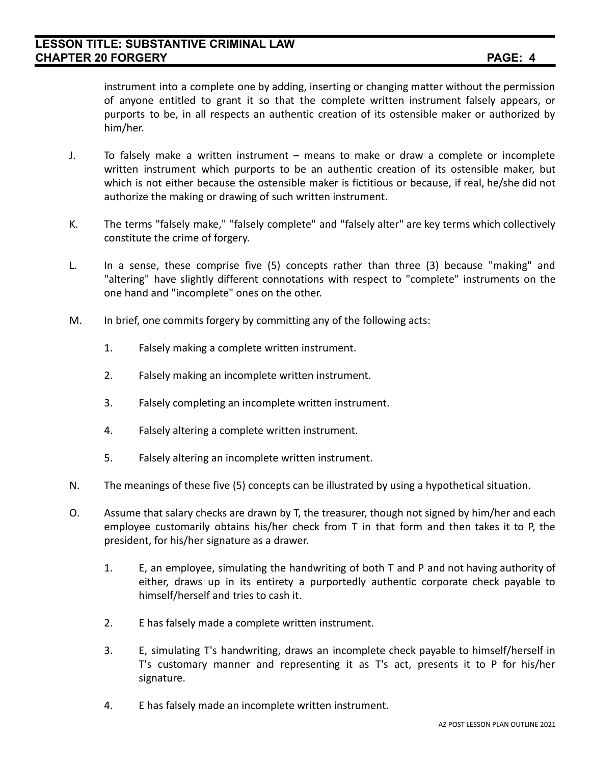instrument into a complete one by adding, inserting or changing matter without the permission of anyone entitled to grant it so that the complete written instrument falsely appears, or purports to be, in all respects an authentic creation of its ostensible maker or authorized by him/her.

- J. To falsely make a written instrument means to make or draw a complete or incomplete written instrument which purports to be an authentic creation of its ostensible maker, but which is not either because the ostensible maker is fictitious or because, if real, he/she did not authorize the making or drawing of such written instrument.
- K. The terms "falsely make," "falsely complete" and "falsely alter" are key terms which collectively constitute the crime of forgery.
- L. In a sense, these comprise five (5) concepts rather than three (3) because "making" and "altering" have slightly different connotations with respect to "complete" instruments on the one hand and "incomplete" ones on the other.
- M. In brief, one commits forgery by committing any of the following acts:
	- 1. Falsely making a complete written instrument.
	- 2. Falsely making an incomplete written instrument.
	- 3. Falsely completing an incomplete written instrument.
	- 4. Falsely altering a complete written instrument.
	- 5. Falsely altering an incomplete written instrument.
- N. The meanings of these five (5) concepts can be illustrated by using a hypothetical situation.
- O. Assume that salary checks are drawn by T, the treasurer, though not signed by him/her and each employee customarily obtains his/her check from T in that form and then takes it to P, the president, for his/her signature as a drawer.
	- 1. E, an employee, simulating the handwriting of both T and P and not having authority of either, draws up in its entirety a purportedly authentic corporate check payable to himself/herself and tries to cash it.
	- 2. E has falsely made a complete written instrument.
	- 3. E, simulating T's handwriting, draws an incomplete check payable to himself/herself in T's customary manner and representing it as T's act, presents it to P for his/her signature.
	- 4. E has falsely made an incomplete written instrument.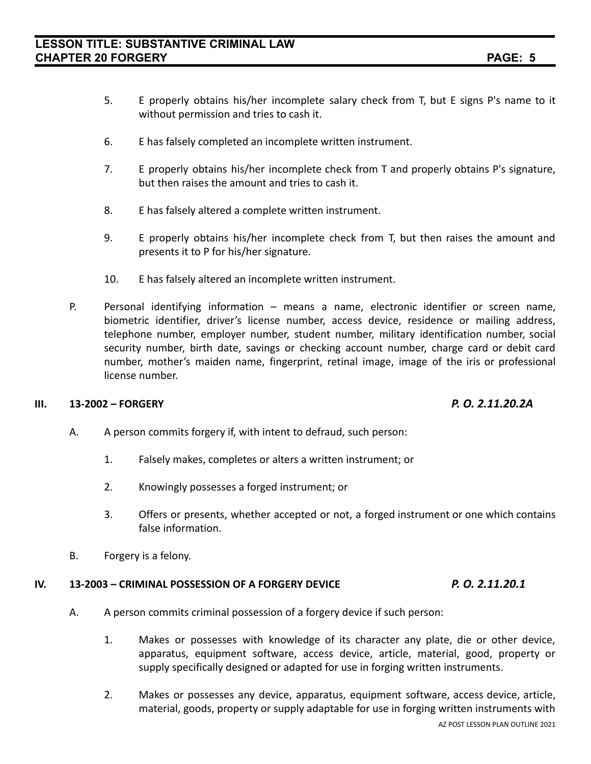- 5. E properly obtains his/her incomplete salary check from T, but E signs P's name to it without permission and tries to cash it.
- 6. E has falsely completed an incomplete written instrument.
- 7. E properly obtains his/her incomplete check from T and properly obtains P's signature, but then raises the amount and tries to cash it.
- 8. E has falsely altered a complete written instrument.
- 9. E properly obtains his/her incomplete check from T, but then raises the amount and presents it to P for his/her signature.
- 10. E has falsely altered an incomplete written instrument.
- P. Personal identifying information means a name, electronic identifier or screen name, biometric identifier, driver's license number, access device, residence or mailing address, telephone number, employer number, student number, military identification number, social security number, birth date, savings or checking account number, charge card or debit card number, mother's maiden name, fingerprint, retinal image, image of the iris or professional license number.

## **III. 13-2002 – FORGERY** *P. O. 2.11.20.2A*

- A. A person commits forgery if, with intent to defraud, such person:
	- 1. Falsely makes, completes or alters a written instrument; or
	- 2. Knowingly possesses a forged instrument; or
	- 3. Offers or presents, whether accepted or not, a forged instrument or one which contains false information.
- B. Forgery is a felony.

### **IV. 13-2003 – CRIMINAL POSSESSION OF A FORGERY DEVICE** *P. O. 2.11.20.1*

- A. A person commits criminal possession of a forgery device if such person:
	- 1. Makes or possesses with knowledge of its character any plate, die or other device, apparatus, equipment software, access device, article, material, good, property or supply specifically designed or adapted for use in forging written instruments.
	- 2. Makes or possesses any device, apparatus, equipment software, access device, article, material, goods, property or supply adaptable for use in forging written instruments with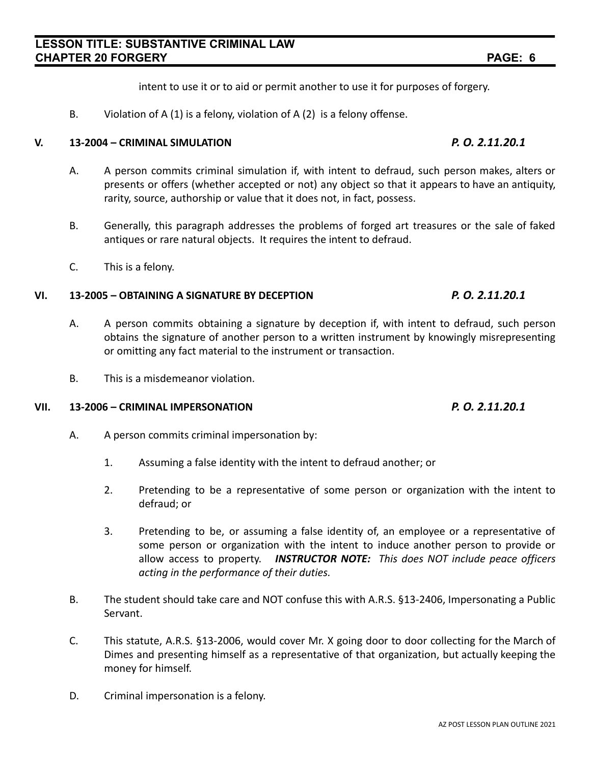intent to use it or to aid or permit another to use it for purposes of forgery.

B. Violation of A (1) is a felony, violation of A (2) is a felony offense.

### **V. 13-2004 – CRIMINAL SIMULATION** *P. O. 2.11.20.1*

- A. A person commits criminal simulation if, with intent to defraud, such person makes, alters or presents or offers (whether accepted or not) any object so that it appears to have an antiquity, rarity, source, authorship or value that it does not, in fact, possess.
- B. Generally, this paragraph addresses the problems of forged art treasures or the sale of faked antiques or rare natural objects. It requires the intent to defraud.
- C. This is a felony.

# **VI. 13-2005 – OBTAINING A SIGNATURE BY DECEPTION** *P. O. 2.11.20.1*

- A. A person commits obtaining a signature by deception if, with intent to defraud, such person obtains the signature of another person to a written instrument by knowingly misrepresenting or omitting any fact material to the instrument or transaction.
- B. This is a misdemeanor violation.

# **VII. 13-2006 – CRIMINAL IMPERSONATION** *P. O. 2.11.20.1*

- A. A person commits criminal impersonation by:
	- 1. Assuming a false identity with the intent to defraud another; or
	- 2. Pretending to be a representative of some person or organization with the intent to defraud; or
	- 3. Pretending to be, or assuming a false identity of, an employee or a representative of some person or organization with the intent to induce another person to provide or allow access to property. *INSTRUCTOR NOTE: This does NOT include peace officers acting in the performance of their duties.*
- B. The student should take care and NOT confuse this with A.R.S. §13-2406, Impersonating a Public Servant.
- C. This statute, A.R.S. §13-2006, would cover Mr. X going door to door collecting for the March of Dimes and presenting himself as a representative of that organization, but actually keeping the money for himself.
- D. Criminal impersonation is a felony.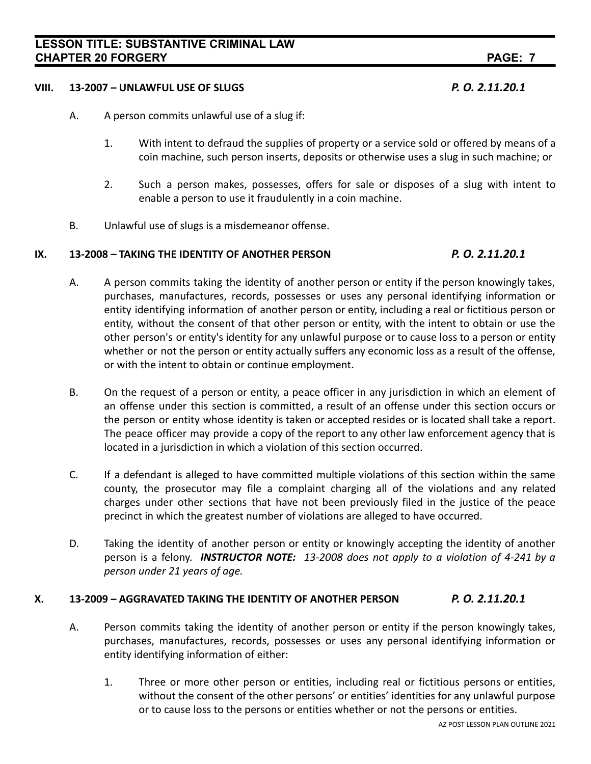# **LESSON TITLE: SUBSTANTIVE CRIMINAL LAW CHAPTER 20 FORGERY PAGE: 7**

# **VIII. 13-2007 – UNLAWFUL USE OF SLUGS** *P. O. 2.11.20.1*

- A. A person commits unlawful use of a slug if:
	- 1. With intent to defraud the supplies of property or a service sold or offered by means of a coin machine, such person inserts, deposits or otherwise uses a slug in such machine; or
	- 2. Such a person makes, possesses, offers for sale or disposes of a slug with intent to enable a person to use it fraudulently in a coin machine.
- B. Unlawful use of slugs is a misdemeanor offense.

# **IX. 13-2008 – TAKING THE IDENTITY OF ANOTHER PERSON** *P. O. 2.11.20.1*

- A. A person commits taking the identity of another person or entity if the person knowingly takes, purchases, manufactures, records, possesses or uses any personal identifying information or entity identifying information of another person or entity, including a real or fictitious person or entity, without the consent of that other person or entity, with the intent to obtain or use the other person's or entity's identity for any unlawful purpose or to cause loss to a person or entity whether or not the person or entity actually suffers any economic loss as a result of the offense, or with the intent to obtain or continue employment.
- B. On the request of a person or entity, a peace officer in any jurisdiction in which an element of an offense under this section is committed, a result of an offense under this section occurs or the person or entity whose identity is taken or accepted resides or is located shall take a report. The peace officer may provide a copy of the report to any other law enforcement agency that is located in a jurisdiction in which a violation of this section occurred.
- C. If a defendant is alleged to have committed multiple violations of this section within the same county, the prosecutor may file a complaint charging all of the violations and any related charges under other sections that have not been previously filed in the justice of the peace precinct in which the greatest number of violations are alleged to have occurred.
- D. Taking the identity of another person or entity or knowingly accepting the identity of another person is a felony. *INSTRUCTOR NOTE: 13-2008 does not apply to a violation of 4-241 by a person under 21 years of age.*

# **X. 13-2009 – AGGRAVATED TAKING THE IDENTITY OF ANOTHER PERSON** *P. O. 2.11.20.1*

- A. Person commits taking the identity of another person or entity if the person knowingly takes, purchases, manufactures, records, possesses or uses any personal identifying information or entity identifying information of either:
	- 1. Three or more other person or entities, including real or fictitious persons or entities, without the consent of the other persons' or entities' identities for any unlawful purpose or to cause loss to the persons or entities whether or not the persons or entities.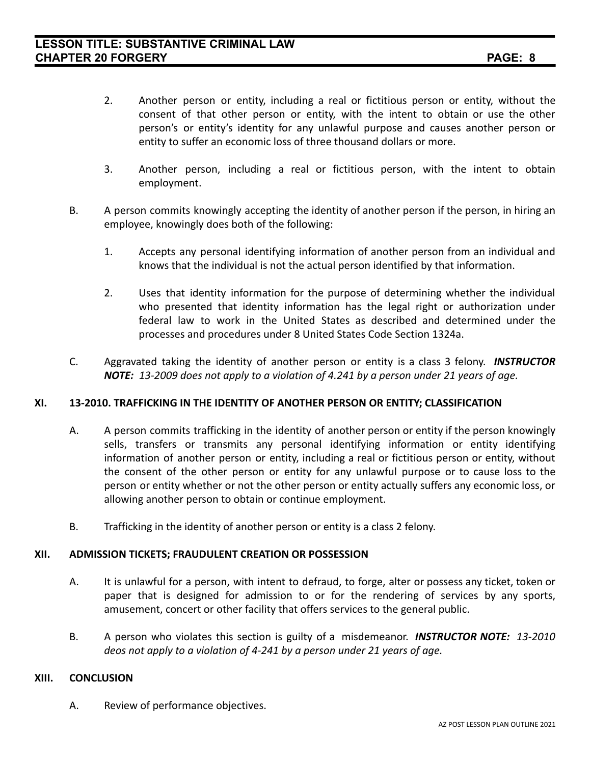- 2. Another person or entity, including a real or fictitious person or entity, without the consent of that other person or entity, with the intent to obtain or use the other person's or entity's identity for any unlawful purpose and causes another person or entity to suffer an economic loss of three thousand dollars or more.
- 3. Another person, including a real or fictitious person, with the intent to obtain employment.
- B. A person commits knowingly accepting the identity of another person if the person, in hiring an employee, knowingly does both of the following:
	- 1. Accepts any personal identifying information of another person from an individual and knows that the individual is not the actual person identified by that information.
	- 2. Uses that identity information for the purpose of determining whether the individual who presented that identity information has the legal right or authorization under federal law to work in the United States as described and determined under the processes and procedures under 8 United States Code Section 1324a.
- C. Aggravated taking the identity of another person or entity is a class 3 felony. *INSTRUCTOR NOTE: 13-2009 does not apply to a violation of 4.241 by a person under 21 years of age.*

## **XI. 13-2010. TRAFFICKING IN THE IDENTITY OF ANOTHER PERSON OR ENTITY; CLASSIFICATION**

- A. A person commits trafficking in the identity of another person or entity if the person knowingly sells, transfers or transmits any personal identifying information or entity identifying information of another person or entity, including a real or fictitious person or entity, without the consent of the other person or entity for any unlawful purpose or to cause loss to the person or entity whether or not the other person or entity actually suffers any economic loss, or allowing another person to obtain or continue employment.
- B. Trafficking in the identity of another person or entity is a class 2 felony.

### **XII. ADMISSION TICKETS; FRAUDULENT CREATION OR POSSESSION**

- A. It is unlawful for a person, with intent to defraud, to forge, alter or possess any ticket, token or paper that is designed for admission to or for the rendering of services by any sports, amusement, concert or other facility that offers services to the general public.
- B. A person who violates this section is guilty of a misdemeanor. *INSTRUCTOR NOTE: 13-2010 deos not apply to a violation of 4-241 by a person under 21 years of age.*

### **XIII. CONCLUSION**

A. Review of performance objectives.